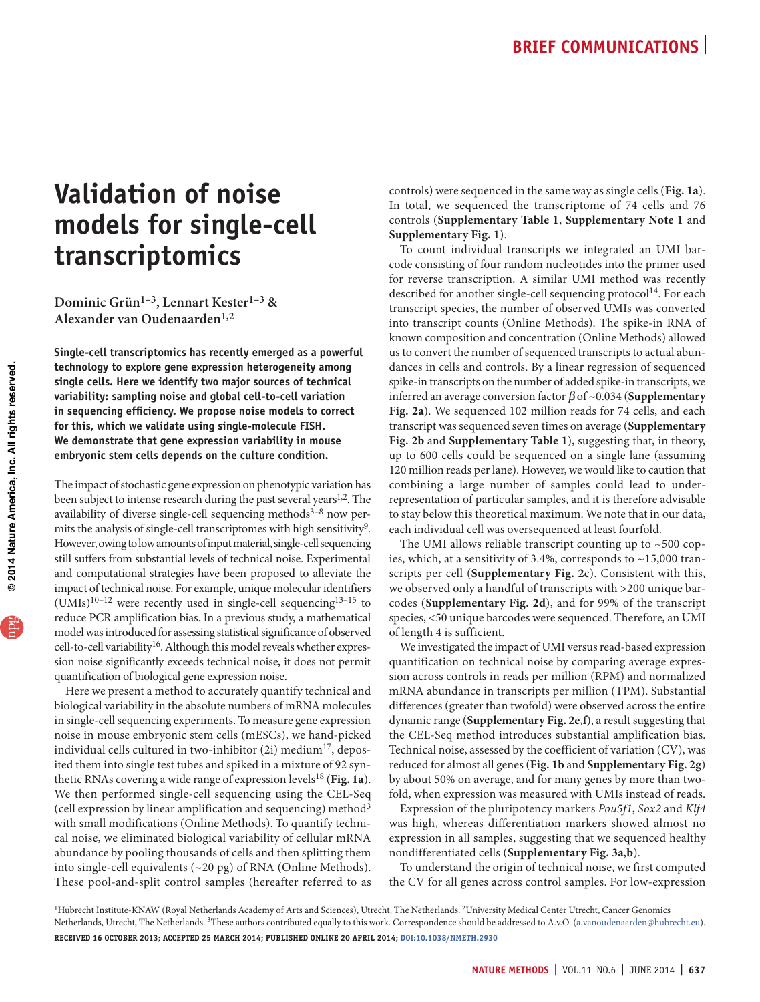# **Validation of noise models for single-cell transcriptomics**

**Dominic Grün1–3, Lennart Kester1–3 & Alexander van Oudenaarden1,2**

**Single-cell transcriptomics has recently emerged as a powerful technology to explore gene expression heterogeneity among single cells. Here we identify two major sources of technical variability: sampling noise and global cell-to-cell variation in sequencing efficiency. We propose noise models to correct for this, which we validate using single-molecule FISH. We demonstrate that gene expression variability in mouse embryonic stem cells depends on the culture condition.**

The impact of stochastic gene expression on phenotypic variation has been subject to intense research during the past several years<sup>1,[2](#page-3-2)</sup>. The availability of diverse single-cell sequencing methods $3-8$  now permits the analysis of single-cell transcriptomes with high sensitivity<sup>9</sup>. However, owing to low amounts of input material, single-cell sequencing still suffers from substantial levels of technical noise. Experimental and computational strategies have been proposed to alleviate the impact of technical noise. For example, unique molecular identifiers  $(UMIs)^{10-12}$  were recently used in single-cell sequencing<sup>13-15</sup> to reduce PCR amplification bias. In a previous study, a mathematical model was introduced for assessing statistical significance of observed cell-to-cell variability<sup>16</sup>. Although this model reveals whether expression noise significantly exceeds technical noise, it does not permit quantification of biological gene expression noise.

Here we present a method to accurately quantify technical and biological variability in the absolute numbers of mRNA molecules in single-cell sequencing experiments. To measure gene expression noise in mouse embryonic stem cells (mESCs), we hand-picked individual cells cultured in two-inhibitor  $(2i)$  medium<sup>[17](#page-3-11)</sup>, deposited them into single test tubes and spiked in a mixture of 92 syn-thetic RNAs covering a wide range of expression levels<sup>[18](#page-3-12)</sup> ([Fig. 1a](#page-1-0)). We then performed single-cell sequencing using the CEL-Seq (cell expression by linear amplification and sequencing) method[3](#page-3-3) with small modifications (Online Methods). To quantify technical noise, we eliminated biological variability of cellular mRNA abundance by pooling thousands of cells and then splitting them into single-cell equivalents (~20 pg) of RNA (Online Methods). These pool-and-split control samples (hereafter referred to as controls) were sequenced in the same way as single cells (**[Fig. 1a](#page-1-0)**). In total, we sequenced the transcriptome of 74 cells and 76 controls (**Supplementary Table 1**, **Supplementary Note 1** and **Supplementary Fig. 1**).

To count individual transcripts we integrated an UMI barcode consisting of four random nucleotides into the primer used for reverse transcription. A similar UMI method was recently described for another single-cell sequencing protocol<sup>14</sup>. For each transcript species, the number of observed UMIs was converted into transcript counts (Online Methods). The spike-in RNA of known composition and concentration (Online Methods) allowed us to convert the number of sequenced transcripts to actual abundances in cells and controls. By a linear regression of sequenced spike-in transcripts on the number of added spike-in transcripts, we inferred an average conversion factor β of ~0.034 (**Supplementary Fig. 2a**). We sequenced 102 million reads for 74 cells, and each transcript was sequenced seven times on average (**Supplementary Fig. 2b** and **Supplementary Table 1**), suggesting that, in theory, up to 600 cells could be sequenced on a single lane (assuming 120 million reads per lane). However, we would like to caution that combining a large number of samples could lead to underrepresentation of particular samples, and it is therefore advisable to stay below this theoretical maximum. We note that in our data, each individual cell was oversequenced at least fourfold.

The UMI allows reliable transcript counting up to  $~500$  copies, which, at a sensitivity of 3.4%, corresponds to ~15,000 transcripts per cell (**Supplementary Fig. 2c**). Consistent with this, we observed only a handful of transcripts with >200 unique barcodes (**Supplementary Fig. 2d**), and for 99% of the transcript species, <50 unique barcodes were sequenced. Therefore, an UMI of length 4 is sufficient.

We investigated the impact of UMI versus read-based expression quantification on technical noise by comparing average expression across controls in reads per million (RPM) and normalized mRNA abundance in transcripts per million (TPM). Substantial differences (greater than twofold) were observed across the entire dynamic range (**Supplementary Fig. 2e**,**f**), a result suggesting that the CEL-Seq method introduces substantial amplification bias. Technical noise, assessed by the coefficient of variation (CV), was reduced for almost all genes (**[Fig. 1b](#page-1-0)** and **Supplementary Fig. 2g**) by about 50% on average, and for many genes by more than twofold, when expression was measured with UMIs instead of reads.

Expression of the pluripotency markers *Pou5f1*, *Sox2* and *Klf4* was high, whereas differentiation markers showed almost no expression in all samples, suggesting that we sequenced healthy nondifferentiated cells (**Supplementary Fig. 3a**,**b**).

To understand the origin of technical noise, we first computed the CV for all genes across control samples. For low-expression

<sup>&</sup>lt;sup>1</sup>Hubrecht Institute-KNAW (Royal Netherlands Academy of Arts and Sciences), Utrecht, The Netherlands. <sup>2</sup>University Medical Center Utrecht, Cancer Genomics Netherlands, Utrecht, The Netherlands. 3These authors contributed equally to this work. Correspondence should be addressed to A.v.O. (a.vanoudenaarden@hubrecht.eu). **Received 16 October 2013; accepted 25 March 2014; published online 20 April 2014; [doi:10.1038/nmeth.2930](http://www.nature.com/doifinder/10.1038/nmeth.2930)**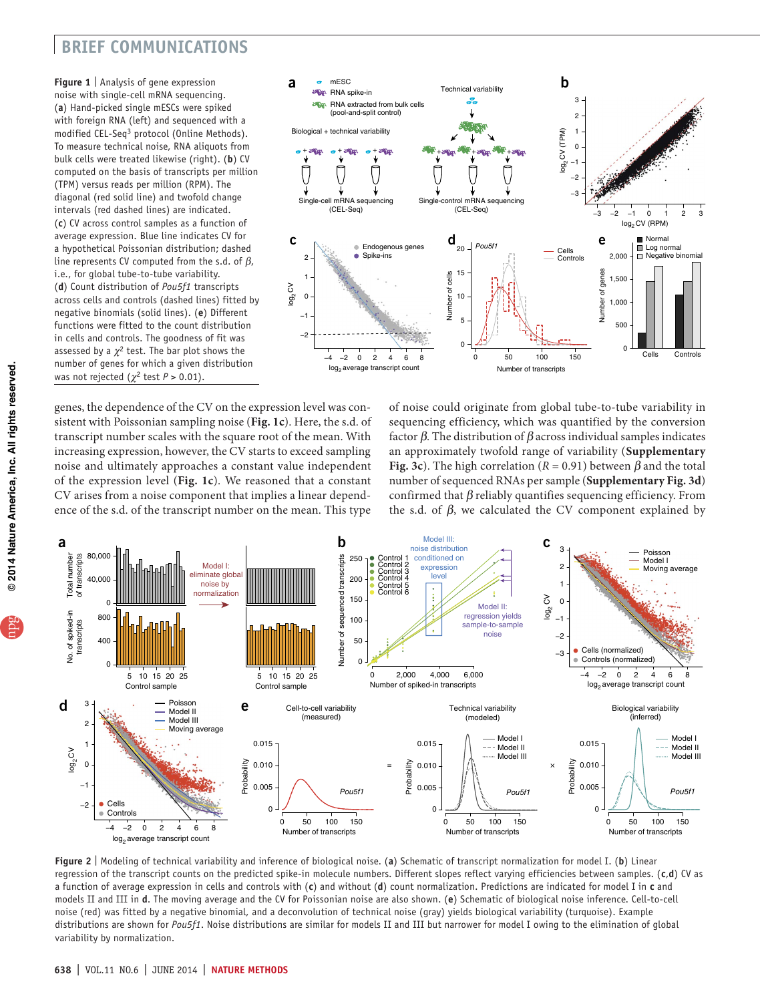# **brief communications**

<span id="page-1-1"></span><span id="page-1-0"></span>**Figure 1** | Analysis of gene expression noise with single-cell mRNA sequencing. (**a**) Hand-picked single mESCs were spiked with foreign RNA (left) and sequenced with a modified CEL-Seq[3](#page-3-13) protocol (Online Methods). To measure technical noise, RNA aliquots from bulk cells were treated likewise (right). (**b**) CV computed on the basis of transcripts per million (TPM) versus reads per million (RPM). The diagonal (red solid line) and twofold change intervals (red dashed lines) are indicated. (**c**) CV across control samples as a function of average expression. Blue line indicates CV for a hypothetical Poissonian distribution; dashed line represents CV computed from the s.d. of  $\beta$ , i.e., for global tube-to-tube variability. (**d**) Count distribution of *Pou5f1* transcripts across cells and controls (dashed lines) fitted by negative binomials (solid lines). (**e**) Different functions were fitted to the count distribution in cells and controls. The goodness of fit was assessed by a  $\chi^2$  test. The bar plot shows the number of genes for which a given distribution was not rejected ( $\chi^2$  test  $P > 0.01$ ).



genes, the dependence of the CV on the expression level was consistent with Poissonian sampling noise (**[Fig. 1c](#page-1-1)**). Here, the s.d. of transcript number scales with the square root of the mean. With increasing expression, however, the CV starts to exceed sampling noise and ultimately approaches a constant value independent of the expression level (**[Fig. 1c](#page-1-1)**). We reasoned that a constant CV arises from a noise component that implies a linear dependence of the s.d. of the transcript number on the mean. This type

of noise could originate from global tube-to-tube variability in sequencing efficiency, which was quantified by the conversion factor  $β$ . The distribution of  $β$  across individual samples indicates an approximately twofold range of variability (**Supplementary Fig. 3c**). The high correlation ( $R = 0.91$ ) between  $\beta$  and the total number of sequenced RNAs per sample (**Supplementary Fig. 3d**) confirmed that  $\beta$  reliably quantifies sequencing efficiency. From the s.d. of  $β$ , we calculated the CV component explained by



<span id="page-1-2"></span>**Figure 2** | Modeling of technical variability and inference of biological noise. (**a**) Schematic of transcript normalization for model I. (**b**) Linear regression of the transcript counts on the predicted spike-in molecule numbers. Different slopes reflect varying efficiencies between samples. (**c**,**d**) CV as a function of average expression in cells and controls with (**c**) and without (**d**) count normalization. Predictions are indicated for model I in **c** and models II and III in **d**. The moving average and the CV for Poissonian noise are also shown. (**e**) Schematic of biological noise inference. Cell-to-cell noise (red) was fitted by a negative binomial, and a deconvolution of technical noise (gray) yields biological variability (turquoise). Example distributions are shown for *Pou5f1*. Noise distributions are similar for models II and III but narrower for model I owing to the elimination of global variability by normalization.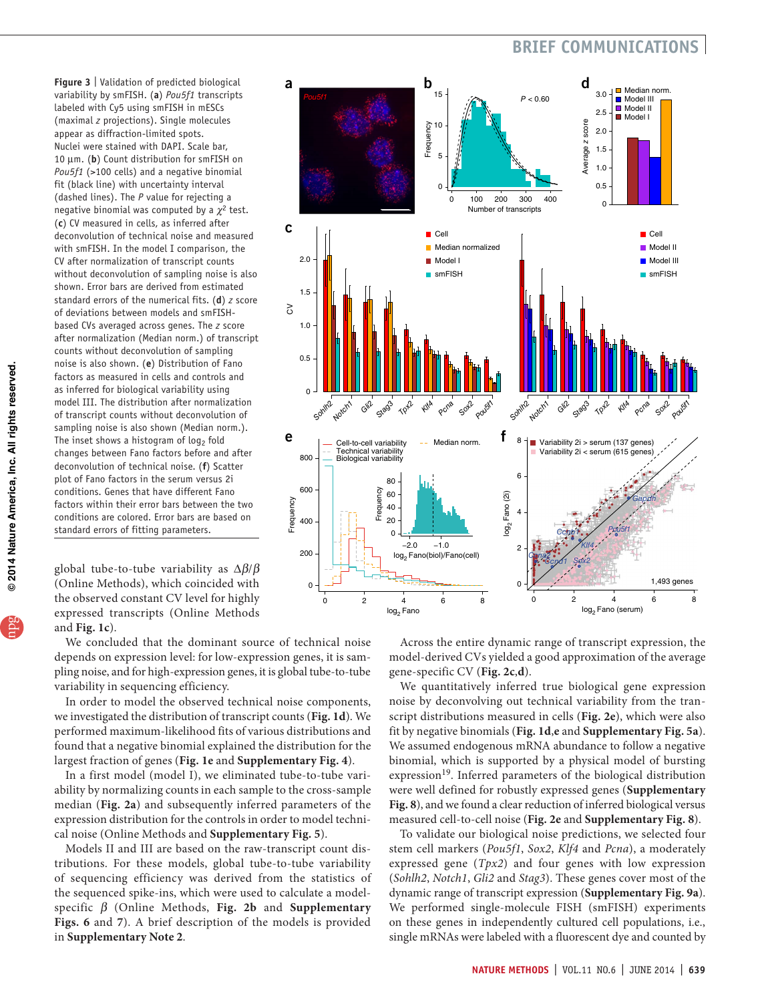# **brief communications**

<span id="page-2-0"></span>**Figure 3** | Validation of predicted biological variability by smFISH. (**a**) *Pou5f1* transcripts labeled with Cy5 using smFISH in mESCs (maximal *z* projections). Single molecules appear as diffraction-limited spots. Nuclei were stained with DAPI. Scale bar, 10 µm. (**b**) Count distribution for smFISH on *Pou5f1* (>100 cells) and a negative binomial fit (black line) with uncertainty interval (dashed lines). The *P* value for rejecting a negative binomial was computed by a  $\chi^2$  test. (**c**) CV measured in cells, as inferred after deconvolution of technical noise and measured with smFISH. In the model I comparison, the CV after normalization of transcript counts without deconvolution of sampling noise is also shown. Error bars are derived from estimated standard errors of the numerical fits. (**d**) *z* score of deviations between models and smFISHbased CVs averaged across genes. The *z* score after normalization (Median norm.) of transcript counts without deconvolution of sampling noise is also shown. (**e**) Distribution of Fano factors as measured in cells and controls and as inferred for biological variability using model III. The distribution after normalization of transcript counts without deconvolution of sampling noise is also shown (Median norm.). The inset shows a histogram of  $log<sub>2</sub>$  fold changes between Fano factors before and after deconvolution of technical noise. (**f**) Scatter plot of Fano factors in the serum versus 2i conditions. Genes that have different Fano factors within their error bars between the two conditions are colored. Error bars are based on standard errors of fitting parameters.

global tube-to-tube variability as ∆β/β (Online Methods), which coincided with the observed constant CV level for highly expressed transcripts (Online Methods and **[Fig. 1c](#page-1-1)**).

We concluded that the dominant source of technical noise depends on expression level: for low-expression genes, it is sampling noise, and for high-expression genes, it is global tube-to-tube variability in sequencing efficiency.

In order to model the observed technical noise components, we investigated the distribution of transcript counts (**[Fig. 1d](#page-1-1)**). We performed maximum-likelihood fits of various distributions and found that a negative binomial explained the distribution for the largest fraction of genes (**[Fig. 1e](#page-1-1)** and **Supplementary Fig. 4**).

In a first model (model I), we eliminated tube-to-tube variability by normalizing counts in each sample to the cross-sample median (**[Fig. 2a](#page-1-2)**) and subsequently inferred parameters of the expression distribution for the controls in order to model technical noise (Online Methods and **Supplementary Fig. 5**).

Models II and III are based on the raw-transcript count distributions. For these models, global tube-to-tube variability of sequencing efficiency was derived from the statistics of the sequenced spike-ins, which were used to calculate a modelspecific β (Online Methods, **[Fig. 2b](#page-1-2)** and **Supplementary Figs. 6** and **7**). A brief description of the models is provided in **Supplementary Note 2**.



Across the entire dynamic range of transcript expression, the model-derived CVs yielded a good approximation of the average gene-specific CV (**[Fig. 2c](#page-1-2)**,**d**).

We quantitatively inferred true biological gene expression noise by deconvolving out technical variability from the transcript distributions measured in cells (**[Fig. 2e](#page-1-2)**), which were also fit by negative binomials (**[Fig. 1d](#page-1-1)**,**e** and **Supplementary Fig. 5a**). We assumed endogenous mRNA abundance to follow a negative binomial, which is supported by a physical model of bursting expression<sup>[19](#page-3-14)</sup>. Inferred parameters of the biological distribution were well defined for robustly expressed genes (**Supplementary Fig. 8**), and we found a clear reduction of inferred biological versus measured cell-to-cell noise (**[Fig. 2e](#page-1-2)** and **Supplementary Fig. 8**).

To validate our biological noise predictions, we selected four stem cell markers (*Pou5f1*, *Sox2*, *Klf4* and *Pcna*), a moderately expressed gene (*Tpx2*) and four genes with low expression (*Sohlh2*, *Notch1*, *Gli2* and *Stag3*). These genes cover most of the dynamic range of transcript expression (**Supplementary Fig. 9a**). We performed single-molecule FISH (smFISH) experiments on these genes in independently cultured cell populations, i.e., single mRNAs were labeled with a fluorescent dye and counted by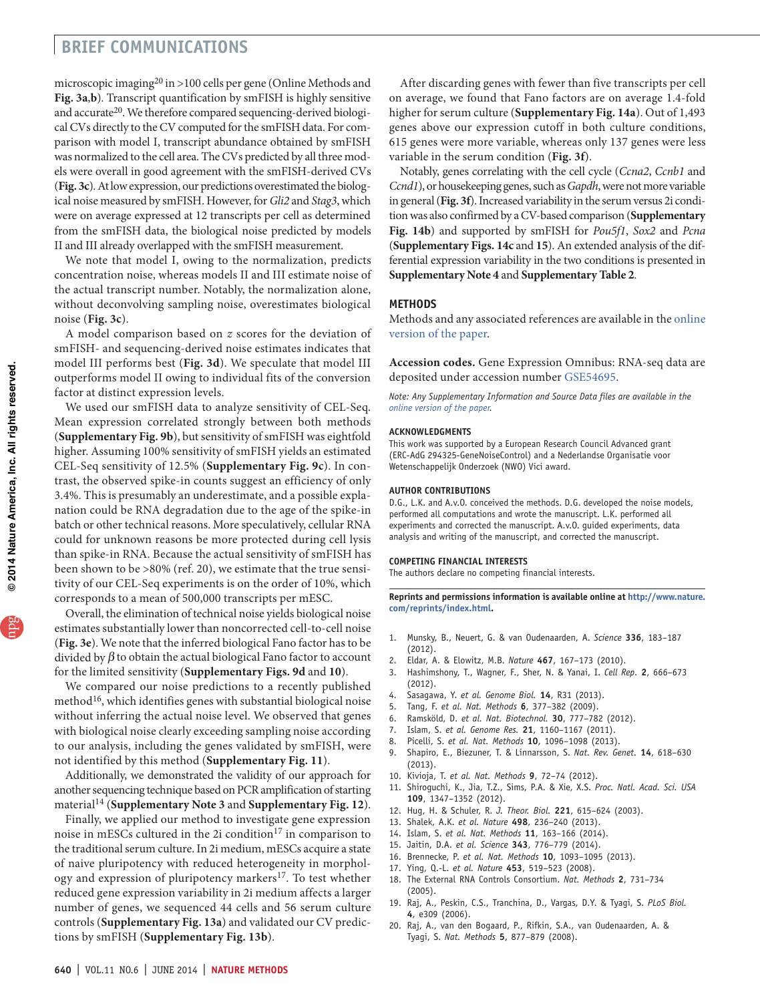## **brief communications**

microscopic imaging<sup>[20](#page-3-15)</sup> in >100 cells per gene (Online Methods and **[Fig. 3a](#page-2-0)**,**b**). Transcript quantification by smFISH is highly sensitive and accurate<sup>20</sup>. We therefore compared sequencing-derived biological CVs directly to the CV computed for the smFISH data. For comparison with model I, transcript abundance obtained by smFISH was normalized to the cell area. The CVs predicted by all three models were overall in good agreement with the smFISH-derived CVs (**[Fig. 3c](#page-2-0)**). At low expression, our predictions overestimated the biological noise measured by smFISH. However, for *Gli2* and *Stag3*, which were on average expressed at 12 transcripts per cell as determined from the smFISH data, the biological noise predicted by models II and III already overlapped with the smFISH measurement.

We note that model I, owing to the normalization, predicts concentration noise, whereas models II and III estimate noise of the actual transcript number. Notably, the normalization alone, without deconvolving sampling noise, overestimates biological noise (**[Fig. 3c](#page-2-0)**).

A model comparison based on *z* scores for the deviation of smFISH- and sequencing-derived noise estimates indicates that model III performs best (**[Fig. 3d](#page-2-0)**). We speculate that model III outperforms model II owing to individual fits of the conversion factor at distinct expression levels.

We used our smFISH data to analyze sensitivity of CEL-Seq. Mean expression correlated strongly between both methods (**Supplementary Fig. 9b**), but sensitivity of smFISH was eightfold higher. Assuming 100% sensitivity of smFISH yields an estimated CEL-Seq sensitivity of 12.5% (**Supplementary Fig. 9c**). In contrast, the observed spike-in counts suggest an efficiency of only 3.4%. This is presumably an underestimate, and a possible explanation could be RNA degradation due to the age of the spike-in batch or other technical reasons. More speculatively, cellular RNA could for unknown reasons be more protected during cell lysis than spike-in RNA. Because the actual sensitivity of smFISH has been shown to be >80% (ref. [20\)](#page-3-15), we estimate that the true sensitivity of our CEL-Seq experiments is on the order of 10%, which corresponds to a mean of 500,000 transcripts per mESC.

Overall, the elimination of technical noise yields biological noise estimates substantially lower than noncorrected cell-to-cell noise (**[Fig. 3e](#page-2-0)**). We note that the inferred biological Fano factor has to be divided by  $\beta$  to obtain the actual biological Fano factor to account for the limited sensitivity (**Supplementary Figs. 9d** and **10**).

We compared our noise predictions to a recently published method $16$ , which identifies genes with substantial biological noise without inferring the actual noise level. We observed that genes with biological noise clearly exceeding sampling noise according to our analysis, including the genes validated by smFISH, were not identified by this method (**Supplementary Fig. 11**).

Additionally, we demonstrated the validity of our approach for another sequencing technique based on PCR amplification of starting material<sup>[14](#page-3-17)</sup> (Supplementary Note 3 and Supplementary Fig. 12).

Finally, we applied our method to investigate gene expression noise in mESCs cultured in the 2i condition<sup>17</sup> in comparison to the traditional serum culture. In 2i medium, mESCs acquire a state of naive pluripotency with reduced heterogeneity in morphology and expression of pluripotency markers<sup>17</sup>. To test whether reduced gene expression variability in 2i medium affects a larger number of genes, we sequenced 44 cells and 56 serum culture controls (**Supplementary Fig. 13a**) and validated our CV predictions by smFISH (**Supplementary Fig. 13b**).

After discarding genes with fewer than five transcripts per cell on average, we found that Fano factors are on average 1.4-fold higher for serum culture (**Supplementary Fig. 14a**). Out of 1,493 genes above our expression cutoff in both culture conditions, 615 genes were more variable, whereas only 137 genes were less variable in the serum condition (**[Fig. 3f](#page-2-0)**).

Notably, genes correlating with the cell cycle (*Ccna2*, *Ccnb1* and *Ccnd1*), or housekeeping genes, such as *Gapdh*, were not more variable in general (**[Fig. 3f](#page-2-0)**). Increased variability in the serum versus 2i condition was also confirmed by a CV-based comparison (**Supplementary Fig. 14b**) and supported by smFISH for *Pou5f1*, *Sox2* and *Pcna* (**Supplementary Figs. 14c** and **15**). An extended analysis of the differential expression variability in the two conditions is presented in **Supplementary Note 4** and **Supplementary Table 2**.

## **Methods**

Methods and any associated references are available in the [online](http://www.nature.com/doifinder/10.1038/nmeth.2930) [version](http://www.nature.com/doifinder/10.1038/nmeth.2930) of the paper.

**Accession codes.** Gene Expression Omnibus: RNA-seq data are deposited under accession number [GSE54695](http://www.ncbi.nlm.nih.gov/geo/query/acc.cgi?acc=GSE54695).

*Note: Any Supplementary Information and Source Data files are available in the online [version](http://www.nature.com/doifinder/10.1038/nmeth.2930) of the paper.*

### **Acknowledgments**

This work was supported by a European Research Council Advanced grant (ERC-AdG 294325-GeneNoiseControl) and a Nederlandse Organisatie voor Wetenschappelijk Onderzoek (NWO) Vici award.

### **AUTHOR CONTRIBUTIONS**

D.G., L.K. and A.v.O. conceived the methods. D.G. developed the noise models, performed all computations and wrote the manuscript. L.K. performed all experiments and corrected the manuscript. A.v.O. guided experiments, data analysis and writing of the manuscript, and corrected the manuscript.

#### **COMPETING FINANCIAL INTERESTS**

The authors declare no competing financial interests.

**Reprints and permissions information is available online at [http://www.nature.](http://www.nature.com/reprints/index.html) [com/reprints/index.html.](http://www.nature.com/reprints/index.html)**

- <span id="page-3-1"></span>1. Munsky, B., Neuert, G. & van Oudenaarden, A. *Science* **336**, 183–187 (2012).
- <span id="page-3-2"></span>2. Eldar, A. & Elowitz, M.B. *Nature* **467**, 167–173 (2010).
- <span id="page-3-13"></span><span id="page-3-3"></span>3. Hashimshony, T., Wagner, F., Sher, N. & Yanai, I. *Cell Rep.* **2**, 666–673 (2012).
- 4. Sasagawa, Y. *et al. Genome Biol.* **14**, R31 (2013).
- 5. Tang, F. *et al. Nat. Methods* **6**, 377–382 (2009).
- 6. Ramsköld, D. *et al. Nat. Biotechnol.* **30**, 777–782 (2012).
- 7. Islam, S. *et al. Genome Res.* **21**, 1160–1167 (2011).
- <span id="page-3-4"></span>8. Picelli, S. *et al. Nat. Methods* **10**, 1096–1098 (2013).
- <span id="page-3-5"></span>9. Shapiro, E., Biezuner, T. & Linnarsson, S. *Nat. Rev. Genet.* **14**, 618–630 (2013).
- <span id="page-3-6"></span>10. Kivioja, T. *et al. Nat. Methods* **9**, 72–74 (2012).
- 11. Shiroguchi, K., Jia, T.Z., Sims, P.A. & Xie, X.S. *Proc. Natl. Acad. Sci. USA* **109**, 1347–1352 (2012).
- <span id="page-3-7"></span>12. Hug, H. & Schuler, R. *J. Theor. Biol.* **221**, 615–624 (2003).
- <span id="page-3-8"></span>13. Shalek, A.K. *et al. Nature* **498**, 236–240 (2013).
- <span id="page-3-17"></span><span id="page-3-0"></span>14. Islam, S. *et al. Nat. Methods* **11**, 163–166 (2014).
- <span id="page-3-9"></span>15. Jaitin, D.A. *et al. Science* **343**, 776–779 (2014).
- <span id="page-3-16"></span><span id="page-3-10"></span>16. Brennecke, P. *et al. Nat. Methods* **10**, 1093–1095 (2013).
- <span id="page-3-18"></span><span id="page-3-11"></span>17. Ying, Q.-L. *et al. Nature* **453**, 519–523 (2008).
- <span id="page-3-19"></span><span id="page-3-12"></span>18. The External RNA Controls Consortium. *Nat. Methods* **2**, 731–734 (2005).
- <span id="page-3-14"></span>19. Raj, A., Peskin, C.S., Tranchina, D., Vargas, D.Y. & Tyagi, S. *PLoS Biol.* **4**, e309 (2006).
- <span id="page-3-15"></span>20. Raj, A., van den Bogaard, P., Rifkin, S.A., van Oudenaarden, A. & Tyagi, S. *Nat. Methods* **5**, 877–879 (2008).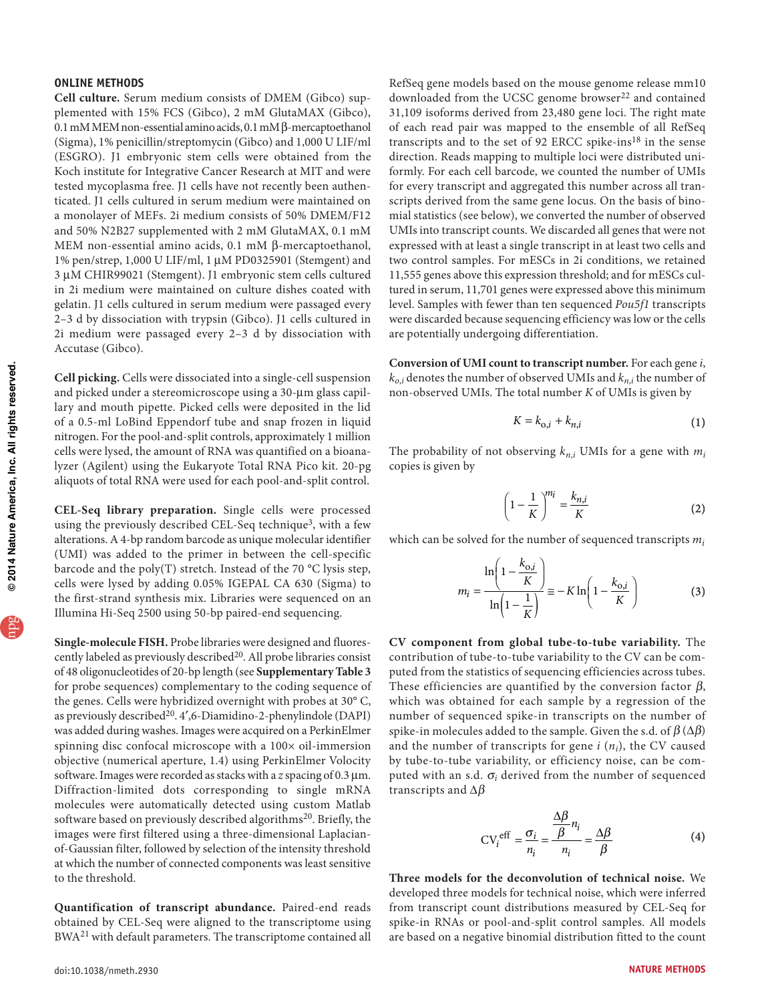## **ONLINE METHODS**

**Cell culture.** Serum medium consists of DMEM (Gibco) supplemented with 15% FCS (Gibco), 2 mM GlutaMAX (Gibco), 0.1 mM MEM non-essential amino acids, 0.1 mM β-mercaptoethanol (Sigma), 1% penicillin/streptomycin (Gibco) and 1,000 U LIF/ml (ESGRO). J1 embryonic stem cells were obtained from the Koch institute for Integrative Cancer Research at MIT and were tested mycoplasma free. J1 cells have not recently been authenticated. J1 cells cultured in serum medium were maintained on a monolayer of MEFs. 2i medium consists of 50% DMEM/F12 and 50% N2B27 supplemented with 2 mM GlutaMAX, 0.1 mM MEM non-essential amino acids, 0.1 mM β-mercaptoethanol, 1% pen/strep, 1,000 U LIF/ml, 1 µM PD0325901 (Stemgent) and 3 µM CHIR99021 (Stemgent). J1 embryonic stem cells cultured in 2i medium were maintained on culture dishes coated with gelatin. J1 cells cultured in serum medium were passaged every 2–3 d by dissociation with trypsin (Gibco). J1 cells cultured in 2i medium were passaged every 2–3 d by dissociation with Accutase (Gibco).

**Cell picking.** Cells were dissociated into a single-cell suspension and picked under a stereomicroscope using a 30-µm glass capillary and mouth pipette. Picked cells were deposited in the lid of a 0.5-ml LoBind Eppendorf tube and snap frozen in liquid nitrogen. For the pool-and-split controls, approximately 1 million cells were lysed, the amount of RNA was quantified on a bioanalyzer (Agilent) using the Eukaryote Total RNA Pico kit. 20-pg aliquots of total RNA were used for each pool-and-split control.

**CEL-Seq library preparation.** Single cells were processed using the previously described CEL-Seq technique<sup>[3](#page-3-13)</sup>, with a few alterations. A 4-bp random barcode as unique molecular identifier (UMI) was added to the primer in between the cell-specific barcode and the poly(T) stretch. Instead of the 70 °C lysis step, cells were lysed by adding 0.05% IGEPAL CA 630 (Sigma) to the first-strand synthesis mix. Libraries were sequenced on an Illumina Hi-Seq 2500 using 50-bp paired-end sequencing.

**Single-molecule FISH.** Probe libraries were designed and fluorescently labeled as previously described<sup>20</sup>. All probe libraries consist of 48 oligonucleotides of 20-bp length (see **Supplementary Table 3** for probe sequences) complementary to the coding sequence of the genes. Cells were hybridized overnight with probes at 30° C, as previously described[20](#page-3-15). 4′,6-Diamidino-2-phenylindole (DAPI) was added during washes. Images were acquired on a PerkinElmer spinning disc confocal microscope with a 100× oil-immersion objective (numerical aperture, 1.4) using PerkinElmer Volocity software. Images were recorded as stacks with a *z* spacing of 0.3 µm. Diffraction-limited dots corresponding to single mRNA molecules were automatically detected using custom Matlab software based on previously described algorithms<sup>[20](#page-3-15)</sup>. Briefly, the images were first filtered using a three-dimensional Laplacianof-Gaussian filter, followed by selection of the intensity threshold at which the number of connected components was least sensitive to the threshold.

**Quantification of transcript abundance.** Paired-end reads obtained by CEL-Seq were aligned to the transcriptome using BWA[21](#page-6-0) with default parameters. The transcriptome contained all

of each read pair was mapped to the ensemble of all RefSeq transcripts and to the set of 92 ERCC spike-ins<sup>18</sup> in the sense direction. Reads mapping to multiple loci were distributed uniformly. For each cell barcode, we counted the number of UMIs for every transcript and aggregated this number across all transcripts derived from the same gene locus. On the basis of binomial statistics (see below), we converted the number of observed UMIs into transcript counts. We discarded all genes that were not expressed with at least a single transcript in at least two cells and two control samples. For mESCs in 2i conditions, we retained 11,555 genes above this expression threshold; and for mESCs cultured in serum, 11,701 genes were expressed above this minimum level. Samples with fewer than ten sequenced *Pou5f1* transcripts were discarded because sequencing efficiency was low or the cells are potentially undergoing differentiation.

RefSeq gene models based on the mouse genome release mm10 downloaded from the UCSC genome browser<sup>[22](#page-6-1)</sup> and contained 31,109 isoforms derived from 23,480 gene loci. The right mate

**Conversion of UMI count to transcript number.** For each gene *i*,  $k_{o,i}$  denotes the number of observed UMIs and  $k_{n,i}$  the number of non-observed UMIs. The total number *K* of UMIs is given by

$$
K = k_{0,i} + k_{n,i} \tag{1}
$$

The probability of not observing  $k_{n,i}$  UMIs for a gene with  $m_i$ copies is given by

$$
\left(1 - \frac{1}{K}\right)^{m_i} = \frac{k_{n,i}}{K} \tag{2}
$$

which can be solved for the number of sequenced transcripts *mi*

$$
m_i = \frac{\ln\left(1 - \frac{k_{0,i}}{K}\right)}{\ln\left(1 - \frac{1}{K}\right)} \approx -K \ln\left(1 - \frac{k_{0,i}}{K}\right)
$$
(3)

**CV component from global tube-to-tube variability.** The contribution of tube-to-tube variability to the CV can be computed from the statistics of sequencing efficiencies across tubes. These efficiencies are quantified by the conversion factor  $\beta$ , which was obtained for each sample by a regression of the number of sequenced spike-in transcripts on the number of spike-in molecules added to the sample. Given the s.d. of  $\beta(\Delta\beta)$ and the number of transcripts for gene  $i(n_i)$ , the CV caused by tube-to-tube variability, or efficiency noise, can be computed with an s.d.  $\sigma_i$  derived from the number of sequenced transcripts and  $\Delta\beta$ 

$$
CVieff = \frac{\sigma_i}{n_i} = \frac{\frac{\Delta \beta}{\beta} n_i}{n_i} = \frac{\Delta \beta}{\beta}
$$
 (4)

**Three models for the deconvolution of technical noise.** We developed three models for technical noise, which were inferred from transcript count distributions measured by CEL-Seq for spike-in RNAs or pool-and-split control samples. All models are based on a negative binomial distribution fitted to the count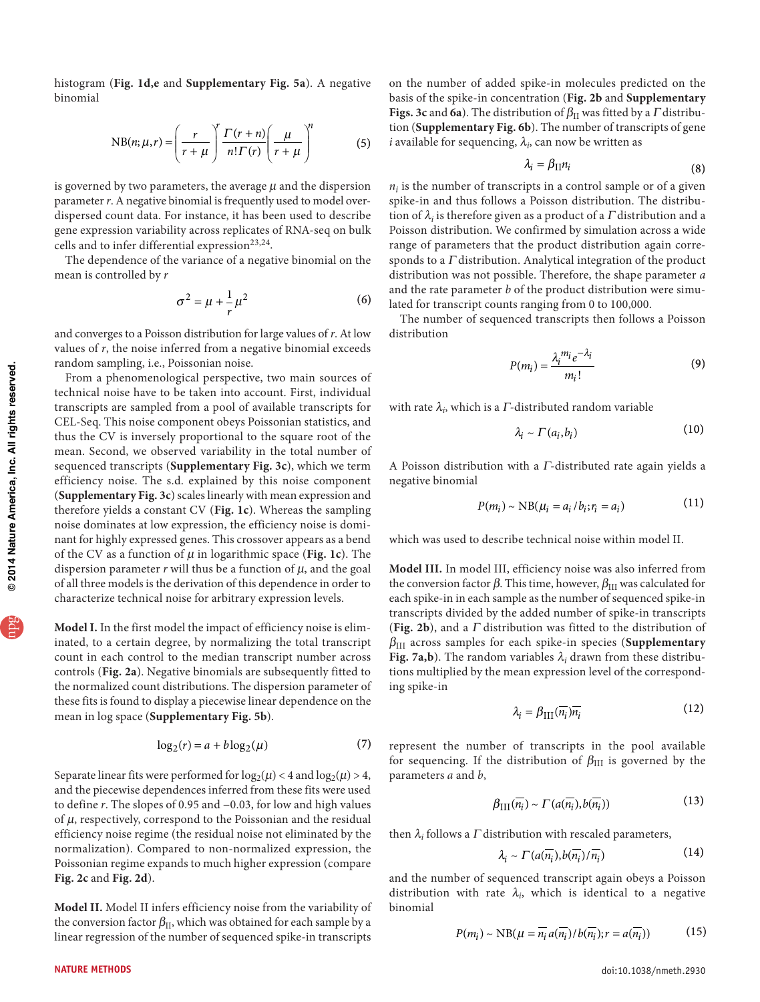histogram (**[Fig. 1d,e](#page-1-1)** and **Supplementary Fig. 5a**). A negative binomial

NB(n; 
$$
\mu
$$
,r) =  $\left(\frac{r}{r+\mu}\right)^r \frac{\Gamma(r+n)}{n!\Gamma(r)} \left(\frac{\mu}{r+\mu}\right)^n$  (5)

is governed by two parameters, the average  $\mu$  and the dispersion parameter  $r$ . A negative binomial is frequently used to model overdispersed count data. For instance, it has been used to describe gene expression variability across replicates of RNA-seq on bulk cells and to infer differential expression<sup>[23,](#page-6-2)[24](#page-6-3)</sup>.

The dependence of the variance of a negative binomial on the mean is controlled by *r*

$$
\sigma^2 = \mu + \frac{1}{r}\mu^2 \tag{6}
$$

and converges to a Poisson distribution for large values of *r*. At low values of *r*, the noise inferred from a negative binomial exceeds random sampling, i.e., Poissonian noise.

From a phenomenological perspective, two main sources of technical noise have to be taken into account. First, individual transcripts are sampled from a pool of available transcripts for CEL-Seq. This noise component obeys Poissonian statistics, and thus the CV is inversely proportional to the square root of the mean. Second, we observed variability in the total number of sequenced transcripts (**Supplementary Fig. 3c**), which we term efficiency noise. The s.d. explained by this noise component (**Supplementary Fig. 3c**) scales linearly with mean expression and therefore yields a constant CV (**[Fig. 1c](#page-1-1)**). Whereas the sampling noise dominates at low expression, the efficiency noise is dominant for highly expressed genes. This crossover appears as a bend of the CV as a function of  $\mu$  in logarithmic space ([Fig. 1c](#page-1-1)). The dispersion parameter  $r$  will thus be a function of  $\mu$ , and the goal of all three models is the derivation of this dependence in order to characterize technical noise for arbitrary expression levels.

**Model I.** In the first model the impact of efficiency noise is eliminated, to a certain degree, by normalizing the total transcript count in each control to the median transcript number across controls (**[Fig. 2a](#page-1-2)**). Negative binomials are subsequently fitted to the normalized count distributions. The dispersion parameter of these fits is found to display a piecewise linear dependence on the mean in log space (**Supplementary Fig. 5b**).

$$
\log_2(r) = a + b \log_2(\mu) \tag{7}
$$

Separate linear fits were performed for  $log_2(\mu) < 4$  and  $log_2(\mu) > 4$ , and the piecewise dependences inferred from these fits were used to define *r*. The slopes of 0.95 and −0.03, for low and high values of  $\mu$ , respectively, correspond to the Poissonian and the residual efficiency noise regime (the residual noise not eliminated by the normalization). Compared to non-normalized expression, the Poissonian regime expands to much higher expression (compare **[Fig. 2c](#page-1-2)** and **[Fig. 2d](#page-1-2)**).

**Model II.** Model II infers efficiency noise from the variability of the conversion factor  $\beta_{II}$ , which was obtained for each sample by a linear regression of the number of sequenced spike-in transcripts

on the number of added spike-in molecules predicted on the basis of the spike-in concentration (**[Fig. 2b](#page-1-2)** and **Supplementary Figs. 3c and 6a**). The distribution of  $\beta_{II}$  was fitted by a *Γ* distribution (**Supplementary Fig. 6b**). The number of transcripts of gene  $i$  available for sequencing,  $\lambda_i$ , can now be written as

$$
\lambda_i = \beta_{\Pi} n_i \tag{8}
$$

 $n_i$  is the number of transcripts in a control sample or of a given spike-in and thus follows a Poisson distribution. The distribution of  $\lambda_i$  is therefore given as a product of a  $\Gamma$  distribution and a Poisson distribution. We confirmed by simulation across a wide range of parameters that the product distribution again corresponds to a  $\Gamma$  distribution. Analytical integration of the product distribution was not possible. Therefore, the shape parameter *a* and the rate parameter *b* of the product distribution were simulated for transcript counts ranging from 0 to 100,000.

The number of sequenced transcripts then follows a Poisson distribution

$$
P(m_i) = \frac{\lambda_i^{m_i} e^{-\lambda_i}}{m_i!}
$$
 (9)

with rate  $\lambda_i$ , which is a  $\Gamma$ -distributed random variable

$$
\lambda_i \sim \Gamma(a_i, b_i) \tag{10}
$$

A Poisson distribution with a Γ-distributed rate again yields a negative binomial

$$
P(m_i) \sim \text{NB}(\mu_i = a_i / b_i; r_i = a_i)
$$
 (11)

which was used to describe technical noise within model II.

**Model III.** In model III, efficiency noise was also inferred from the conversion factor  $β$ . This time, however,  $β_{III}$  was calculated for each spike-in in each sample as the number of sequenced spike-in transcripts divided by the added number of spike-in transcripts (**[Fig. 2b](#page-1-2)**), and a Γ distribution was fitted to the distribution of βIII across samples for each spike-in species (**Supplementary Fig. 7a,b**). The random variables  $\lambda_i$  drawn from these distributions multiplied by the mean expression level of the corresponding spike-in

$$
\lambda_i = \beta_{\text{III}}(\overline{n_i}) \overline{n_i} \tag{12}
$$

represent the number of transcripts in the pool available for sequencing. If the distribution of  $\beta_{\rm III}$  is governed by the parameters *a* and *b*,

$$
\beta_{\text{III}}(\overline{n_i}) \sim \Gamma(a(\overline{n_i}), b(\overline{n_i})) \tag{13}
$$

then  $\lambda_i$  follows a  $\Gamma$  distribution with rescaled parameters,

$$
\lambda_i \sim \Gamma(a(\overline{n_i}), b(\overline{n_i})/\overline{n_i}) \tag{14}
$$

and the number of sequenced transcript again obeys a Poisson distribution with rate  $\lambda_i$ , which is identical to a negative binomial

$$
P(m_i) \sim \text{NB}(\mu = \overline{n_i} a(\overline{n_i}) / b(\overline{n_i}); r = a(\overline{n_i}))
$$
 (15)